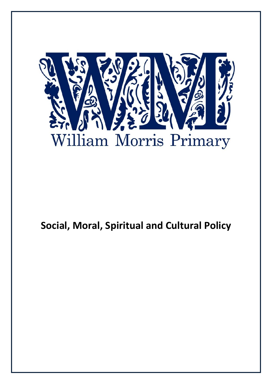

# **Social, Moral, Spiritual and Cultural Policy**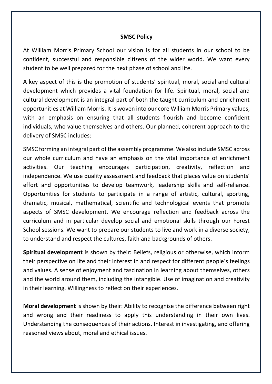#### **SMSC Policy**

At William Morris Primary School our vision is for all students in our school to be confident, successful and responsible citizens of the wider world. We want every student to be well prepared for the next phase of school and life.

A key aspect of this is the promotion of students' spiritual, moral, social and cultural development which provides a vital foundation for life. Spiritual, moral, social and cultural development is an integral part of both the taught curriculum and enrichment opportunities at William Morris. It is woven into our core William Morris Primary values, with an emphasis on ensuring that all students flourish and become confident individuals, who value themselves and others. Our planned, coherent approach to the delivery of SMSC includes:

SMSC forming an integral part of the assembly programme. We also include SMSC across our whole curriculum and have an emphasis on the vital importance of enrichment activities. Our teaching encourages participation, creativity, reflection and independence. We use quality assessment and feedback that places value on students' effort and opportunities to develop teamwork, leadership skills and self-reliance. Opportunities for students to participate in a range of artistic, cultural, sporting, dramatic, musical, mathematical, scientific and technological events that promote aspects of SMSC development. We encourage reflection and feedback across the curriculum and in particular develop social and emotional skills through our Forest School sessions. We want to prepare our students to live and work in a diverse society, to understand and respect the cultures, faith and backgrounds of others.

**Spiritual development** is shown by their: Beliefs, religious or otherwise, which inform their perspective on life and their interest in and respect for different people's feelings and values. A sense of enjoyment and fascination in learning about themselves, others and the world around them, including the intangible. Use of imagination and creativity in their learning. Willingness to reflect on their experiences.

**Moral development** is shown by their: Ability to recognise the difference between right and wrong and their readiness to apply this understanding in their own lives. Understanding the consequences of their actions. Interest in investigating, and offering reasoned views about, moral and ethical issues.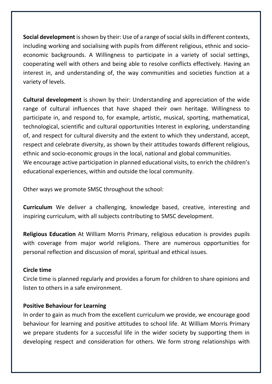**Social development** is shown by their: Use of a range of social skills in different contexts, including working and socialising with pupils from different religious, ethnic and socioeconomic backgrounds. A Willingness to participate in a variety of social settings, cooperating well with others and being able to resolve conflicts effectively. Having an interest in, and understanding of, the way communities and societies function at a variety of levels.

**Cultural development** is shown by their: Understanding and appreciation of the wide range of cultural influences that have shaped their own heritage. Willingness to participate in, and respond to, for example, artistic, musical, sporting, mathematical, technological, scientific and cultural opportunities Interest in exploring, understanding of, and respect for cultural diversity and the extent to which they understand, accept, respect and celebrate diversity, as shown by their attitudes towards different religious, ethnic and socio-economic groups in the local, national and global communities. We encourage active participation in planned educational visits, to enrich the children's educational experiences, within and outside the local community.

Other ways we promote SMSC throughout the school:

**Curriculum** We deliver a challenging, knowledge based, creative, interesting and inspiring curriculum, with all subjects contributing to SMSC development.

**Religious Education** At William Morris Primary, religious education is provides pupils with coverage from major world religions. There are numerous opportunities for personal reflection and discussion of moral, spiritual and ethical issues.

# **Circle time**

Circle time is planned regularly and provides a forum for children to share opinions and listen to others in a safe environment.

#### **Positive Behaviour for Learning**

In order to gain as much from the excellent curriculum we provide, we encourage good behaviour for learning and positive attitudes to school life. At William Morris Primary we prepare students for a successful life in the wider society by supporting them in developing respect and consideration for others. We form strong relationships with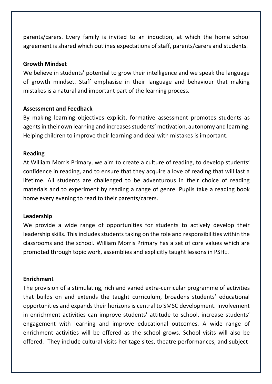parents/carers. Every family is invited to an induction, at which the home school agreement is shared which outlines expectations of staff, parents/carers and students.

#### **Growth Mindset**

We believe in students' potential to grow their intelligence and we speak the language of growth mindset. Staff emphasise in their language and behaviour that making mistakes is a natural and important part of the learning process.

## **Assessment and Feedback**

By making learning objectives explicit, formative assessment promotes students as agents in their own learning and increases students' motivation, autonomy and learning. Helping children to improve their learning and deal with mistakes is important.

#### **Reading**

At William Morris Primary, we aim to create a culture of reading, to develop students' confidence in reading, and to ensure that they acquire a love of reading that will last a lifetime. All students are challenged to be adventurous in their choice of reading materials and to experiment by reading a range of genre. Pupils take a reading book home every evening to read to their parents/carers.

#### **Leadership**

We provide a wide range of opportunities for students to actively develop their leadership skills. This includes students taking on the role and responsibilities within the classrooms and the school. William Morris Primary has a set of core values which are promoted through topic work, assemblies and explicitly taught lessons in PSHE.

#### **Enrichmen**t

The provision of a stimulating, rich and varied extra-curricular programme of activities that builds on and extends the taught curriculum, broadens students' educational opportunities and expands their horizons is central to SMSC development. Involvement in enrichment activities can improve students' attitude to school, increase students' engagement with learning and improve educational outcomes. A wide range of enrichment activities will be offered as the school grows. School visits will also be offered. They include cultural visits heritage sites, theatre performances, and subject